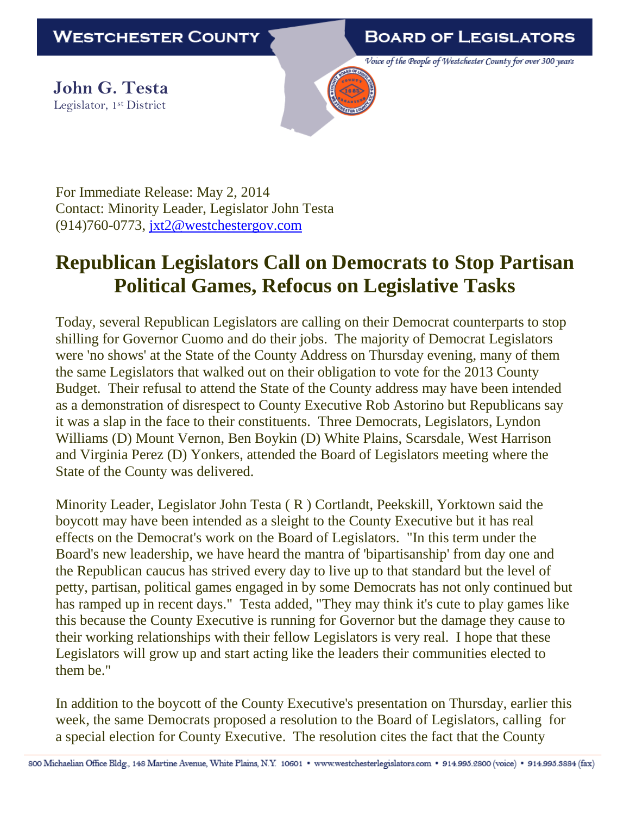**BOARD OF LEGISLATORS** 

Voice of the People of Westchester County for over 300 years

**John G. Testa** Legislator, 1st District



For Immediate Release: May 2, 2014 Contact: Minority Leader, Legislator John Testa (914)760-0773, [jxt2@westchestergov.com](mailto:jxt2@westchestergov.com)

## **Republican Legislators Call on Democrats to Stop Partisan Political Games, Refocus on Legislative Tasks**

Today, several Republican Legislators are calling on their Democrat counterparts to stop shilling for Governor Cuomo and do their jobs. The majority of Democrat Legislators were 'no shows' at the State of the County Address on Thursday evening, many of them the same Legislators that walked out on their obligation to vote for the 2013 County Budget. Their refusal to attend the State of the County address may have been intended as a demonstration of disrespect to County Executive Rob Astorino but Republicans say it was a slap in the face to their constituents. Three Democrats, Legislators, Lyndon Williams (D) Mount Vernon, Ben Boykin (D) White Plains, Scarsdale, West Harrison and Virginia Perez (D) Yonkers, attended the Board of Legislators meeting where the State of the County was delivered.

Minority Leader, Legislator John Testa ( R ) Cortlandt, Peekskill, Yorktown said the boycott may have been intended as a sleight to the County Executive but it has real effects on the Democrat's work on the Board of Legislators. "In this term under the Board's new leadership, we have heard the mantra of 'bipartisanship' from day one and the Republican caucus has strived every day to live up to that standard but the level of petty, partisan, political games engaged in by some Democrats has not only continued but has ramped up in recent days." Testa added, "They may think it's cute to play games like this because the County Executive is running for Governor but the damage they cause to their working relationships with their fellow Legislators is very real. I hope that these Legislators will grow up and start acting like the leaders their communities elected to them be."

In addition to the boycott of the County Executive's presentation on Thursday, earlier this week, the same Democrats proposed a resolution to the Board of Legislators, calling for a special election for County Executive. The resolution cites the fact that the County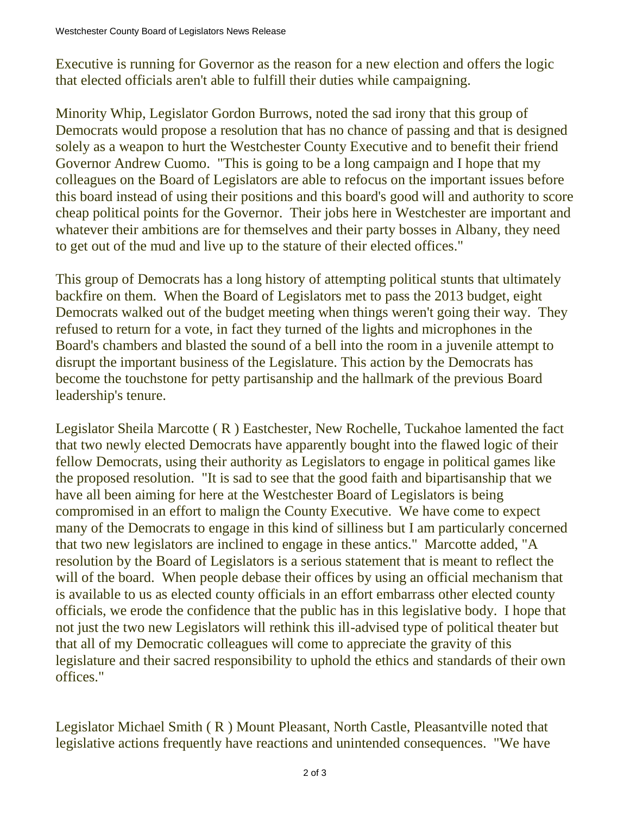Executive is running for Governor as the reason for a new election and offers the logic that elected officials aren't able to fulfill their duties while campaigning.

Minority Whip, Legislator Gordon Burrows, noted the sad irony that this group of Democrats would propose a resolution that has no chance of passing and that is designed solely as a weapon to hurt the Westchester County Executive and to benefit their friend Governor Andrew Cuomo. "This is going to be a long campaign and I hope that my colleagues on the Board of Legislators are able to refocus on the important issues before this board instead of using their positions and this board's good will and authority to score cheap political points for the Governor. Their jobs here in Westchester are important and whatever their ambitions are for themselves and their party bosses in Albany, they need to get out of the mud and live up to the stature of their elected offices."

This group of Democrats has a long history of attempting political stunts that ultimately backfire on them. When the Board of Legislators met to pass the 2013 budget, eight Democrats walked out of the budget meeting when things weren't going their way. They refused to return for a vote, in fact they turned of the lights and microphones in the Board's chambers and blasted the sound of a bell into the room in a juvenile attempt to disrupt the important business of the Legislature. This action by the Democrats has become the touchstone for petty partisanship and the hallmark of the previous Board leadership's tenure.

Legislator Sheila Marcotte ( R ) Eastchester, New Rochelle, Tuckahoe lamented the fact that two newly elected Democrats have apparently bought into the flawed logic of their fellow Democrats, using their authority as Legislators to engage in political games like the proposed resolution. "It is sad to see that the good faith and bipartisanship that we have all been aiming for here at the Westchester Board of Legislators is being compromised in an effort to malign the County Executive. We have come to expect many of the Democrats to engage in this kind of silliness but I am particularly concerned that two new legislators are inclined to engage in these antics." Marcotte added, "A resolution by the Board of Legislators is a serious statement that is meant to reflect the will of the board. When people debase their offices by using an official mechanism that is available to us as elected county officials in an effort embarrass other elected county officials, we erode the confidence that the public has in this legislative body. I hope that not just the two new Legislators will rethink this ill-advised type of political theater but that all of my Democratic colleagues will come to appreciate the gravity of this legislature and their sacred responsibility to uphold the ethics and standards of their own offices."

Legislator Michael Smith ( R ) Mount Pleasant, North Castle, Pleasantville noted that legislative actions frequently have reactions and unintended consequences. "We have